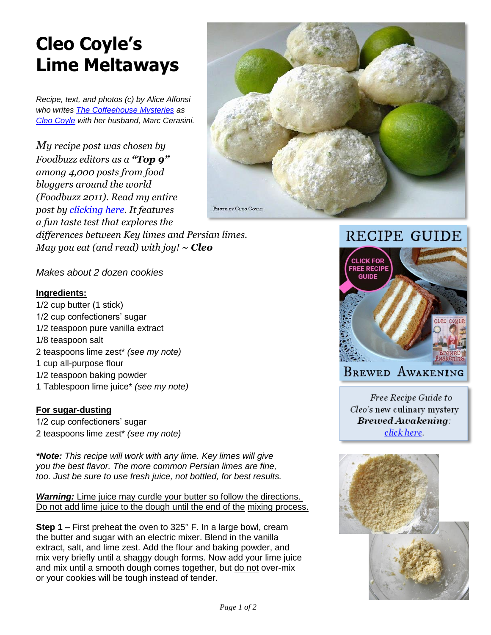## **Cleo Coyle's Lime Meltaways**

*Recipe, text, and photos (c) by Alice Alfonsi who writes [The Coffeehouse Mysteries](http://www.coffeehousemystery.com/about_coffeehouse_mystery_books.cfm) as [Cleo Coyle](http://www.cleocoylerecipes.com/p/about_7.html) with her husband, Marc Cerasini.*

*My recipe post was chosen by Foodbuzz editors as a "Top 9" among 4,000 posts from food bloggers around the world (Foodbuzz 2011). Read my entire post by [clicking here.](http://www.cleocoylerecipes.com/2016/05/Key-Lime-Coolers.html) It features a fun taste test that explores the differences between Key limes and Persian limes. May you eat (and read) with joy! ~ Cleo*



*Makes about 2 dozen cookies*

## **Ingredients:**

1/2 cup butter (1 stick) 1/2 cup confectioners' sugar 1/2 teaspoon pure vanilla extract 1/8 teaspoon salt 2 teaspoons lime zest\* *(see my note)* 1 cup all-purpose flour 1/2 teaspoon baking powder 1 Tablespoon lime juice\* *(see my note)*

## **For sugar-dusting**

1/2 cup confectioners' sugar 2 teaspoons lime zest\* *(see my note)*

*\*Note: This recipe will work with any lime. Key limes will give you the best flavor. The more common Persian limes are fine, too. Just be sure to use fresh juice, not bottled, for best results.*

*Warning:* Lime juice may curdle your butter so follow the directions. Do not add lime juice to the dough until the end of the mixing process.

**Step 1 –** First preheat the oven to 325° F. In a large bowl, cream the butter and sugar with an electric mixer. Blend in the vanilla extract, salt, and lime zest. Add the flour and baking powder, and mix very briefly until a shaggy dough forms. Now add your lime juice and mix until a smooth dough comes together, but do not over-mix or your cookies will be tough instead of tender.





**BREWED AWAKENING** 

Free Recipe Guide to Cleo's new culinary mystery **Brewed Awakeming:** click here.